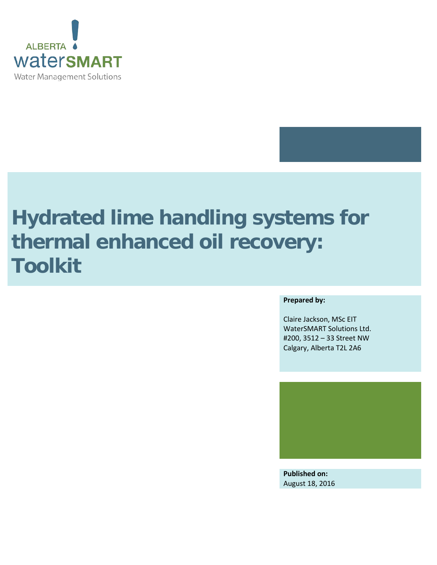

# **Hydrated lime handling systems for thermal enhanced oil recovery: Toolkit**

#### **Prepared by:**

Claire Jackson, MSc EIT WaterSMART Solutions Ltd. #200, 3512 – 33 Street NW Calgary, Alberta T2L 2A6



**Published on:** August 18, 2016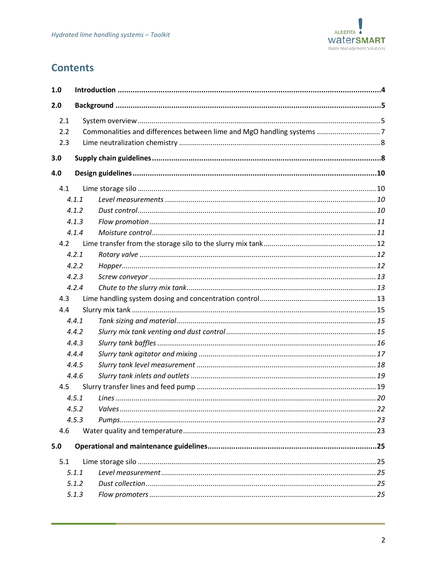

# **Contents**

| 1.0               |       |                                                                       |  |
|-------------------|-------|-----------------------------------------------------------------------|--|
| 2.0               |       |                                                                       |  |
| 2.1<br>2.2<br>2.3 |       | Commonalities and differences between lime and MgO handling systems 7 |  |
| 3.0               |       |                                                                       |  |
| 4.0               |       |                                                                       |  |
| 4.1               |       |                                                                       |  |
|                   | 4.1.1 |                                                                       |  |
|                   | 4.1.2 |                                                                       |  |
|                   | 4.1.3 |                                                                       |  |
|                   | 4.1.4 |                                                                       |  |
| 4.2               |       |                                                                       |  |
|                   | 4.2.1 |                                                                       |  |
|                   | 4.2.2 |                                                                       |  |
|                   | 4.2.3 |                                                                       |  |
|                   | 4.2.4 |                                                                       |  |
| 4.3               |       |                                                                       |  |
| 4.4               |       |                                                                       |  |
|                   | 4.4.1 |                                                                       |  |
|                   | 4.4.2 |                                                                       |  |
|                   | 4.4.3 |                                                                       |  |
|                   | 4.4.4 |                                                                       |  |
|                   | 4.4.5 |                                                                       |  |
|                   | 4.4.6 |                                                                       |  |
| 4.5               |       |                                                                       |  |
|                   | 4.5.1 |                                                                       |  |
|                   | 4.5.2 |                                                                       |  |
|                   | 4.5.3 |                                                                       |  |
| 4.6               |       |                                                                       |  |
| 5.0               |       |                                                                       |  |
| 5.1               |       |                                                                       |  |
|                   | 5.1.1 |                                                                       |  |
|                   | 5.1.2 |                                                                       |  |
|                   | 5.1.3 |                                                                       |  |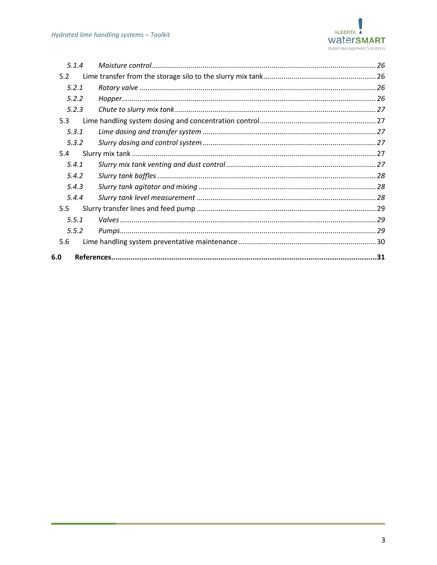

| 5.1.4            |  |  |  |
|------------------|--|--|--|
| 5.2              |  |  |  |
| 5.2.1            |  |  |  |
| 5.2.2            |  |  |  |
| 5.2.3            |  |  |  |
| 5.3              |  |  |  |
| 5.3.1            |  |  |  |
| 5.3.2            |  |  |  |
| 5.4              |  |  |  |
| 5.4.1            |  |  |  |
| 5.4.2            |  |  |  |
| 5.4.3            |  |  |  |
| 5.4.4            |  |  |  |
| 5.5 <sub>1</sub> |  |  |  |
| 5.5.1            |  |  |  |
| 5.5.2            |  |  |  |
| 5.6              |  |  |  |
| 6.0              |  |  |  |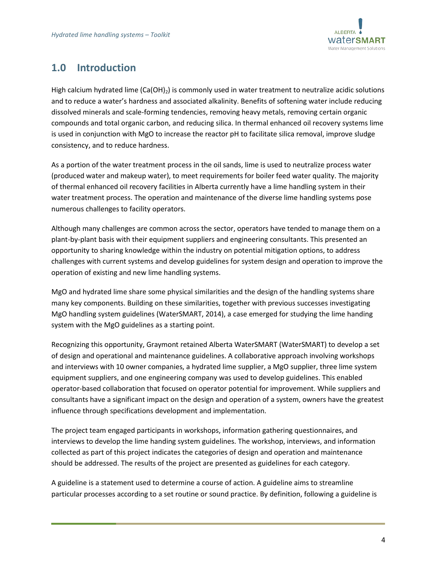

# <span id="page-3-0"></span>**1.0 Introduction**

High calcium hydrated lime  $(Ca(OH)_2)$  is commonly used in water treatment to neutralize acidic solutions and to reduce a water's hardness and associated alkalinity. Benefits of softening water include reducing dissolved minerals and scale-forming tendencies, removing heavy metals, removing certain organic compounds and total organic carbon, and reducing silica. In thermal enhanced oil recovery systems lime is used in conjunction with MgO to increase the reactor pH to facilitate silica removal, improve sludge consistency, and to reduce hardness.

As a portion of the water treatment process in the oil sands, lime is used to neutralize process water (produced water and makeup water), to meet requirements for boiler feed water quality. The majority of thermal enhanced oil recovery facilities in Alberta currently have a lime handling system in their water treatment process. The operation and maintenance of the diverse lime handling systems pose numerous challenges to facility operators.

Although many challenges are common across the sector, operators have tended to manage them on a plant-by-plant basis with their equipment suppliers and engineering consultants. This presented an opportunity to sharing knowledge within the industry on potential mitigation options, to address challenges with current systems and develop guidelines for system design and operation to improve the operation of existing and new lime handling systems.

MgO and hydrated lime share some physical similarities and the design of the handling systems share many key components. Building on these similarities, together with previous successes investigating MgO handling system guidelines (WaterSMART, 2014), a case emerged for studying the lime handing system with the MgO guidelines as a starting point.

Recognizing this opportunity, Graymont retained Alberta WaterSMART (WaterSMART) to develop a set of design and operational and maintenance guidelines. A collaborative approach involving workshops and interviews with 10 owner companies, a hydrated lime supplier, a MgO supplier, three lime system equipment suppliers, and one engineering company was used to develop guidelines. This enabled operator-based collaboration that focused on operator potential for improvement. While suppliers and consultants have a significant impact on the design and operation of a system, owners have the greatest influence through specifications development and implementation.

The project team engaged participants in workshops, information gathering questionnaires, and interviews to develop the lime handing system guidelines. The workshop, interviews, and information collected as part of this project indicates the categories of design and operation and maintenance should be addressed. The results of the project are presented as guidelines for each category.

A guideline is a statement used to determine a course of action. A guideline aims to streamline particular processes according to a set routine or sound practice. By definition, following a guideline is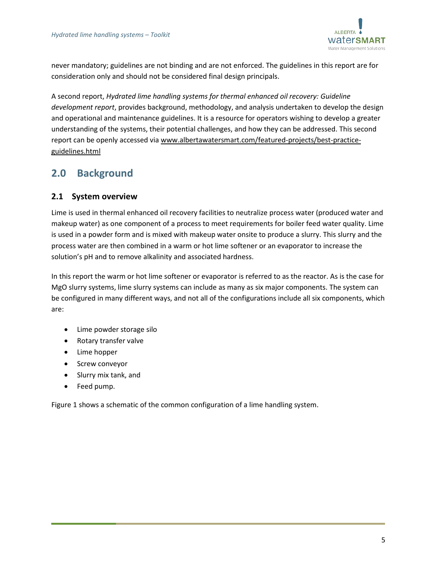

never mandatory; guidelines are not binding and are not enforced. The guidelines in this report are for consideration only and should not be considered final design principals.

A second report, *Hydrated lime handling systems for thermal enhanced oil recovery: Guideline development report*, provides background, methodology, and analysis undertaken to develop the design and operational and maintenance guidelines. It is a resource for operators wishing to develop a greater understanding of the systems, their potential challenges, and how they can be addressed. This second report can be openly accessed via [www.albertawatersmart.com/featured-projects/best-practice](http://www.albertawatersmart.com/featured-projects/best-practice-guidelines.html)[guidelines.html](http://www.albertawatersmart.com/featured-projects/best-practice-guidelines.html)

# <span id="page-4-0"></span>**2.0 Background**

# <span id="page-4-1"></span>**2.1 System overview**

Lime is used in thermal enhanced oil recovery facilities to neutralize process water (produced water and makeup water) as one component of a process to meet requirements for boiler feed water quality. Lime is used in a powder form and is mixed with makeup water onsite to produce a slurry. This slurry and the process water are then combined in a warm or hot lime softener or an evaporator to increase the solution's pH and to remove alkalinity and associated hardness.

In this report the warm or hot lime softener or evaporator is referred to as the reactor. As is the case for MgO slurry systems, lime slurry systems can include as many as six major components. The system can be configured in many different ways, and not all of the configurations include all six components, which are:

- Lime powder storage silo
- Rotary transfer valve
- Lime hopper
- Screw conveyor
- Slurry mix tank, and
- Feed pump.

[Figure 1](#page-5-0) shows a schematic of the common configuration of a lime handling system.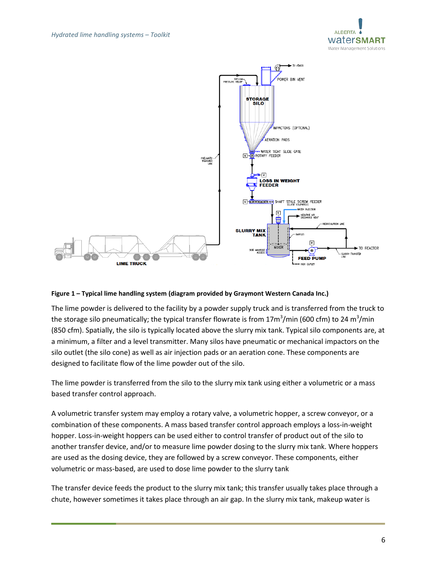



#### <span id="page-5-0"></span>**Figure 1 – Typical lime handling system (diagram provided by Graymont Western Canada Inc.)**

The lime powder is delivered to the facility by a powder supply truck and is transferred from the truck to the storage silo pneumatically; the typical transfer flowrate is from 17m<sup>3</sup>/min (600 cfm) to 24 m<sup>3</sup>/min (850 cfm). Spatially, the silo is typically located above the slurry mix tank. Typical silo components are, at a minimum, a filter and a level transmitter. Many silos have pneumatic or mechanical impactors on the silo outlet (the silo cone) as well as air injection pads or an aeration cone. These components are designed to facilitate flow of the lime powder out of the silo.

The lime powder is transferred from the silo to the slurry mix tank using either a volumetric or a mass based transfer control approach.

A volumetric transfer system may employ a rotary valve, a volumetric hopper, a screw conveyor, or a combination of these components. A mass based transfer control approach employs a loss-in-weight hopper. Loss-in-weight hoppers can be used either to control transfer of product out of the silo to another transfer device, and/or to measure lime powder dosing to the slurry mix tank. Where hoppers are used as the dosing device, they are followed by a screw conveyor. These components, either volumetric or mass-based, are used to dose lime powder to the slurry tank

The transfer device feeds the product to the slurry mix tank; this transfer usually takes place through a chute, however sometimes it takes place through an air gap. In the slurry mix tank, makeup water is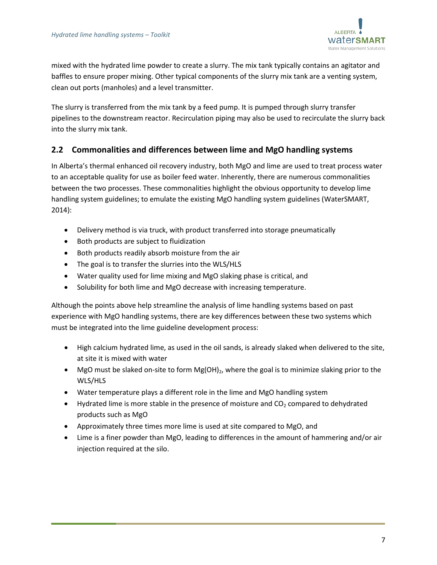

mixed with the hydrated lime powder to create a slurry. The mix tank typically contains an agitator and baffles to ensure proper mixing. Other typical components of the slurry mix tank are a venting system, clean out ports (manholes) and a level transmitter.

The slurry is transferred from the mix tank by a feed pump. It is pumped through slurry transfer pipelines to the downstream reactor. Recirculation piping may also be used to recirculate the slurry back into the slurry mix tank.

# <span id="page-6-0"></span>**2.2 Commonalities and differences between lime and MgO handling systems**

In Alberta's thermal enhanced oil recovery industry, both MgO and lime are used to treat process water to an acceptable quality for use as boiler feed water. Inherently, there are numerous commonalities between the two processes. These commonalities highlight the obvious opportunity to develop lime handling system guidelines; to emulate the existing MgO handling system guidelines (WaterSMART, 2014):

- Delivery method is via truck, with product transferred into storage pneumatically
- Both products are subject to fluidization
- Both products readily absorb moisture from the air
- The goal is to transfer the slurries into the WLS/HLS
- Water quality used for lime mixing and MgO slaking phase is critical, and
- Solubility for both lime and MgO decrease with increasing temperature.

Although the points above help streamline the analysis of lime handling systems based on past experience with MgO handling systems, there are key differences between these two systems which must be integrated into the lime guideline development process:

- High calcium hydrated lime, as used in the oil sands, is already slaked when delivered to the site, at site it is mixed with water
- MgO must be slaked on-site to form  $Mg(OH)_2$ , where the goal is to minimize slaking prior to the WLS/HLS
- Water temperature plays a different role in the lime and MgO handling system
- Hydrated lime is more stable in the presence of moisture and  $CO<sub>2</sub>$  compared to dehydrated products such as MgO
- Approximately three times more lime is used at site compared to MgO, and
- Lime is a finer powder than MgO, leading to differences in the amount of hammering and/or air injection required at the silo.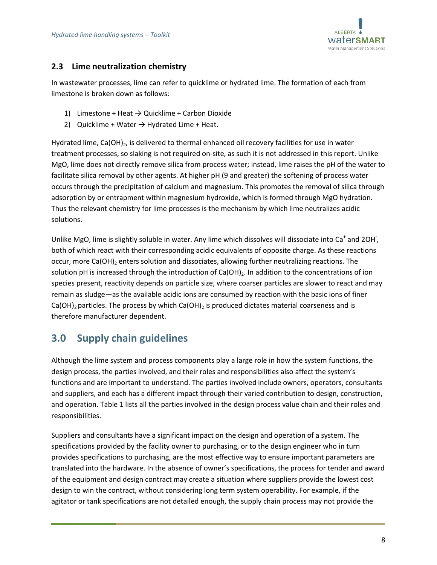

# <span id="page-7-0"></span>**2.3 Lime neutralization chemistry**

In wastewater processes, lime can refer to quicklime or hydrated lime. The formation of each from limestone is broken down as follows:

- 1) Limestone + Heat  $\rightarrow$  Quicklime + Carbon Dioxide
- 2) Quicklime + Water  $\rightarrow$  Hydrated Lime + Heat.

Hydrated lime, Ca(OH)<sub>2</sub>, is delivered to thermal enhanced oil recovery facilities for use in water treatment processes, so slaking is not required on-site, as such it is not addressed in this report. Unlike MgO, lime does not directly remove silica from process water; instead, lime raises the pH of the water to facilitate silica removal by other agents. At higher pH (9 and greater) the softening of process water occurs through the precipitation of calcium and magnesium. This promotes the removal of silica through adsorption by or entrapment within magnesium hydroxide, which is formed through MgO hydration. Thus the relevant chemistry for lime processes is the mechanism by which lime neutralizes acidic solutions.

Unlike MgO, lime is slightly soluble in water. Any lime which dissolves will dissociate into Ca<sup>+</sup> and 2OH<sup>-</sup>, both of which react with their corresponding acidic equivalents of opposite charge. As these reactions occur, more Ca(OH)<sub>2</sub> enters solution and dissociates, allowing further neutralizing reactions. The solution pH is increased through the introduction of Ca(OH)<sub>2</sub>. In addition to the concentrations of ion species present, reactivity depends on particle size, where coarser particles are slower to react and may remain as sludge—as the available acidic ions are consumed by reaction with the basic ions of finer  $Ca(OH)_2$  particles. The process by which  $Ca(OH)_2$  is produced dictates material coarseness and is therefore manufacturer dependent.

# <span id="page-7-1"></span>**3.0 Supply chain guidelines**

Although the lime system and process components play a large role in how the system functions, the design process, the parties involved, and their roles and responsibilities also affect the system's functions and are important to understand. The parties involved include owners, operators, consultants and suppliers, and each has a different impact through their varied contribution to design, construction, and operation[. Table 1](#page-8-0) lists all the parties involved in the design process value chain and their roles and responsibilities.

Suppliers and consultants have a significant impact on the design and operation of a system. The specifications provided by the facility owner to purchasing, or to the design engineer who in turn provides specifications to purchasing, are the most effective way to ensure important parameters are translated into the hardware. In the absence of owner's specifications, the process for tender and award of the equipment and design contract may create a situation where suppliers provide the lowest cost design to win the contract, without considering long term system operability. For example, if the agitator or tank specifications are not detailed enough, the supply chain process may not provide the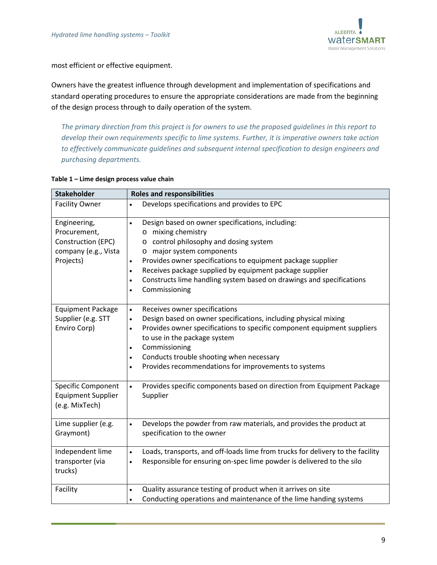

most efficient or effective equipment.

Owners have the greatest influence through development and implementation of specifications and standard operating procedures to ensure the appropriate considerations are made from the beginning of the design process through to daily operation of the system.

*The primary direction from this project is for owners to use the proposed guidelines in this report to develop their own requirements specific to lime systems. Further, it is imperative owners take action to effectively communicate guidelines and subsequent internal specification to design engineers and purchasing departments.* 

#### <span id="page-8-0"></span>**Table 1 – Lime design process value chain**

| <b>Stakeholder</b>                                                                      | <b>Roles and responsibilities</b>                                                                                                                                                                                                                                                                                                                                                                                                          |  |  |
|-----------------------------------------------------------------------------------------|--------------------------------------------------------------------------------------------------------------------------------------------------------------------------------------------------------------------------------------------------------------------------------------------------------------------------------------------------------------------------------------------------------------------------------------------|--|--|
| <b>Facility Owner</b>                                                                   | Develops specifications and provides to EPC<br>$\bullet$                                                                                                                                                                                                                                                                                                                                                                                   |  |  |
| Engineering,<br>Procurement,<br>Construction (EPC)<br>company (e.g., Vista<br>Projects) | Design based on owner specifications, including:<br>$\bullet$<br>mixing chemistry<br>$\circ$<br>o control philosophy and dosing system<br>o major system components<br>Provides owner specifications to equipment package supplier<br>$\bullet$<br>Receives package supplied by equipment package supplier<br>$\bullet$<br>Constructs lime handling system based on drawings and specifications<br>$\bullet$<br>Commissioning<br>$\bullet$ |  |  |
| <b>Equipment Package</b><br>Supplier (e.g. STT<br>Enviro Corp)                          | Receives owner specifications<br>$\bullet$<br>Design based on owner specifications, including physical mixing<br>$\bullet$<br>Provides owner specifications to specific component equipment suppliers<br>$\bullet$<br>to use in the package system<br>Commissioning<br>$\bullet$<br>Conducts trouble shooting when necessary<br>$\bullet$<br>Provides recommendations for improvements to systems<br>$\bullet$                             |  |  |
| <b>Specific Component</b><br><b>Equipment Supplier</b><br>(e.g. MixTech)                | Provides specific components based on direction from Equipment Package<br>$\bullet$<br>Supplier                                                                                                                                                                                                                                                                                                                                            |  |  |
| Lime supplier (e.g.<br>Graymont)                                                        | Develops the powder from raw materials, and provides the product at<br>$\bullet$<br>specification to the owner                                                                                                                                                                                                                                                                                                                             |  |  |
| Independent lime<br>transporter (via<br>trucks)                                         | Loads, transports, and off-loads lime from trucks for delivery to the facility<br>$\bullet$<br>Responsible for ensuring on-spec lime powder is delivered to the silo<br>$\bullet$                                                                                                                                                                                                                                                          |  |  |
| Facility                                                                                | Quality assurance testing of product when it arrives on site<br>$\bullet$<br>Conducting operations and maintenance of the lime handing systems<br>$\bullet$                                                                                                                                                                                                                                                                                |  |  |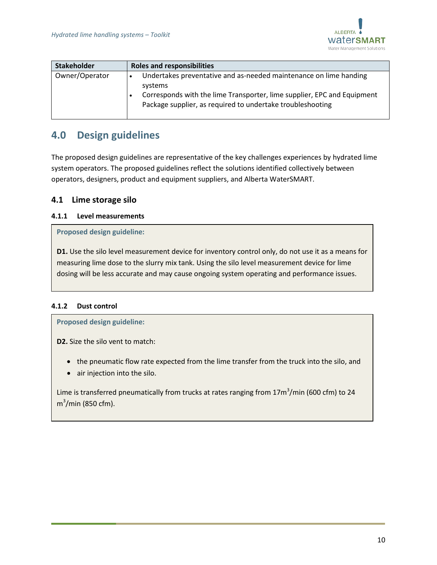

| <b>Stakeholder</b> | <b>Roles and responsibilities</b>                                                                                                                                                                                     |
|--------------------|-----------------------------------------------------------------------------------------------------------------------------------------------------------------------------------------------------------------------|
| Owner/Operator     | Undertakes preventative and as-needed maintenance on lime handing<br>systems<br>Corresponds with the lime Transporter, lime supplier, EPC and Equipment<br>Package supplier, as required to undertake troubleshooting |

# <span id="page-9-0"></span>**4.0 Design guidelines**

The proposed design guidelines are representative of the key challenges experiences by hydrated lime system operators. The proposed guidelines reflect the solutions identified collectively between operators, designers, product and equipment suppliers, and Alberta WaterSMART.

# <span id="page-9-1"></span>**4.1 Lime storage silo**

# <span id="page-9-2"></span>**4.1.1 Level measurements**

#### **Proposed design guideline:**

**D1.** Use the silo level measurement device for inventory control only, do not use it as a means for measuring lime dose to the slurry mix tank. Using the silo level measurement device for lime dosing will be less accurate and may cause ongoing system operating and performance issues.

# <span id="page-9-3"></span>**4.1.2 Dust control**

**Proposed design guideline:**

**D2.** Size the silo vent to match:

- the pneumatic flow rate expected from the lime transfer from the truck into the silo, and
- air injection into the silo.

Lime is transferred pneumatically from trucks at rates ranging from 17m<sup>3</sup>/min (600 cfm) to 24 m<sup>3</sup>/min (850 cfm).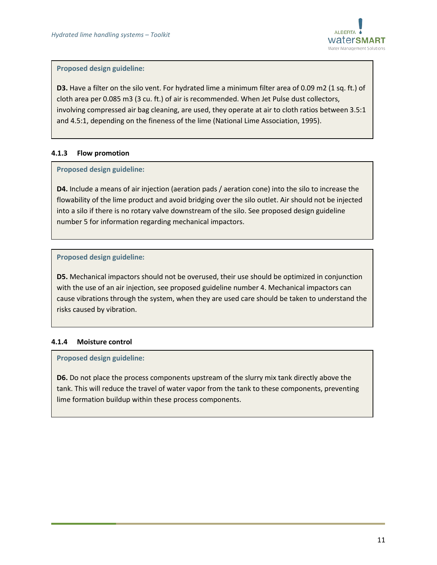

**D3.** Have a filter on the silo vent. For hydrated lime a minimum filter area of 0.09 m2 (1 sq. ft.) of cloth area per 0.085 m3 (3 cu. ft.) of air is recommended. When Jet Pulse dust collectors, involving compressed air bag cleaning, are used, they operate at air to cloth ratios between 3.5:1 and 4.5:1, depending on the fineness of the lime (National Lime Association, 1995).

#### <span id="page-10-0"></span>**4.1.3 Flow promotion**

#### **Proposed design guideline:**

**D4.** Include a means of air injection (aeration pads / aeration cone) into the silo to increase the flowability of the lime product and avoid bridging over the silo outlet. Air should not be injected into a silo if there is no rotary valve downstream of the silo. See proposed design guideline number 5 for information regarding mechanical impactors.

#### **Proposed design guideline:**

**D5.** Mechanical impactors should not be overused, their use should be optimized in conjunction with the use of an air injection, see proposed guideline number 4. Mechanical impactors can cause vibrations through the system, when they are used care should be taken to understand the risks caused by vibration.

#### <span id="page-10-1"></span>**4.1.4 Moisture control**

#### **Proposed design guideline:**

**D6.** Do not place the process components upstream of the slurry mix tank directly above the tank. This will reduce the travel of water vapor from the tank to these components, preventing lime formation buildup within these process components.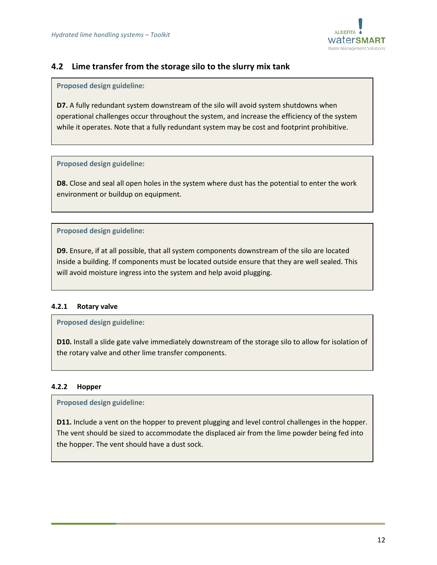

# <span id="page-11-0"></span>**4.2 Lime transfer from the storage silo to the slurry mix tank**

#### **Proposed design guideline:**

**D7.** A fully redundant system downstream of the silo will avoid system shutdowns when operational challenges occur throughout the system, and increase the efficiency of the system while it operates. Note that a fully redundant system may be cost and footprint prohibitive.

#### **Proposed design guideline:**

**D8.** Close and seal all open holes in the system where dust has the potential to enter the work environment or buildup on equipment.

# **Proposed design guideline:**

**D9.** Ensure, if at all possible, that all system components downstream of the silo are located inside a building. If components must be located outside ensure that they are well sealed. This will avoid moisture ingress into the system and help avoid plugging.

# <span id="page-11-1"></span>**4.2.1 Rotary valve**

# **Proposed design guideline:**

**D10.** Install a slide gate valve immediately downstream of the storage silo to allow for isolation of the rotary valve and other lime transfer components.

# <span id="page-11-2"></span>**4.2.2 Hopper**

# **Proposed design guideline:**

**D11.** Include a vent on the hopper to prevent plugging and level control challenges in the hopper. The vent should be sized to accommodate the displaced air from the lime powder being fed into the hopper. The vent should have a dust sock.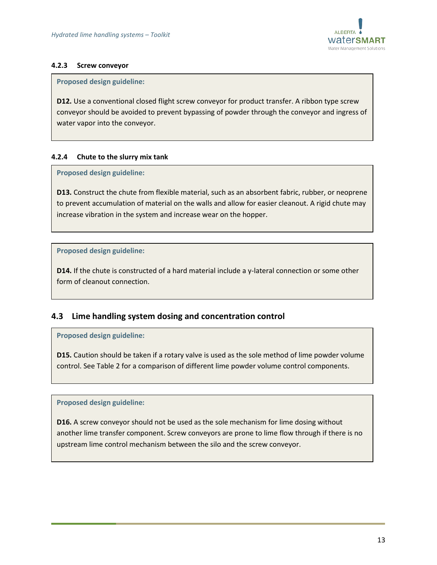

#### <span id="page-12-0"></span>**4.2.3 Screw conveyor**

#### **Proposed design guideline:**

**D12.** Use a conventional closed flight screw conveyor for product transfer. A ribbon type screw conveyor should be avoided to prevent bypassing of powder through the conveyor and ingress of water vapor into the conveyor.

# <span id="page-12-1"></span>**4.2.4 Chute to the slurry mix tank**

#### **Proposed design guideline:**

**D13.** Construct the chute from flexible material, such as an absorbent fabric, rubber, or neoprene to prevent accumulation of material on the walls and allow for easier cleanout. A rigid chute may increase vibration in the system and increase wear on the hopper.

#### **Proposed design guideline:**

**D14.** If the chute is constructed of a hard material include a y-lateral connection or some other form of cleanout connection.

# <span id="page-12-2"></span>**4.3 Lime handling system dosing and concentration control**

#### **Proposed design guideline:**

**D15.** Caution should be taken if a rotary valve is used as the sole method of lime powder volume control. Se[e Table 2](#page-13-0) for a comparison of different lime powder volume control components.

#### **Proposed design guideline:**

**D16.** A screw conveyor should not be used as the sole mechanism for lime dosing without another lime transfer component. Screw conveyors are prone to lime flow through if there is no upstream lime control mechanism between the silo and the screw conveyor.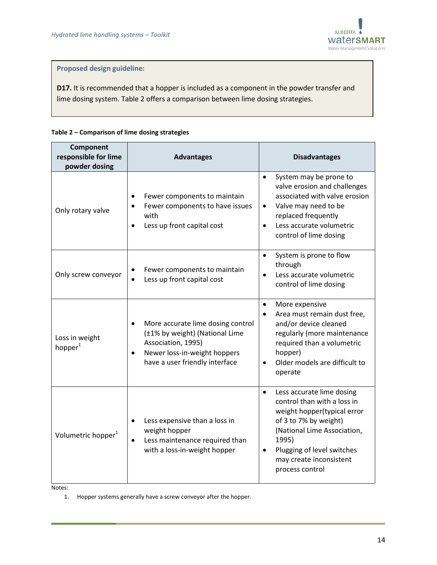

**D17.** It is recommended that a hopper is included as a component in the powder transfer and lime dosing system. [Table 2](#page-13-0) offers a comparison between lime dosing strategies.

#### <span id="page-13-0"></span>**Table 2 – Comparison of lime dosing strategies**

| Component<br>responsible for lime<br>powder dosing | <b>Advantages</b>                                                                                                                                                        | <b>Disadvantages</b>                                                                                                                                                                                                                              |
|----------------------------------------------------|--------------------------------------------------------------------------------------------------------------------------------------------------------------------------|---------------------------------------------------------------------------------------------------------------------------------------------------------------------------------------------------------------------------------------------------|
| Only rotary valve                                  | Fewer components to maintain<br>Fewer components to have issues<br>with<br>Less up front capital cost<br>$\bullet$                                                       | System may be prone to<br>$\bullet$<br>valve erosion and challenges<br>associated with valve erosion<br>Valve may need to be<br>$\bullet$<br>replaced frequently<br>Less accurate volumetric<br>$\bullet$<br>control of lime dosing               |
| Only screw conveyor                                | Fewer components to maintain<br>Less up front capital cost                                                                                                               | System is prone to flow<br>$\bullet$<br>through<br>Less accurate volumetric<br>control of lime dosing                                                                                                                                             |
| Loss in weight<br>hopper <sup>1</sup>              | More accurate lime dosing control<br>$\bullet$<br>(±1% by weight) (National Lime<br>Association, 1995)<br>Newer loss-in-weight hoppers<br>have a user friendly interface | More expensive<br>$\bullet$<br>Area must remain dust free,<br>$\bullet$<br>and/or device cleaned<br>regularly (more maintenance<br>required than a volumetric<br>hopper)<br>Older models are difficult to<br>operate                              |
| Volumetric hopper <sup>1</sup>                     | Less expensive than a loss in<br>weight hopper<br>Less maintenance required than<br>$\bullet$<br>with a loss-in-weight hopper                                            | Less accurate lime dosing<br>$\bullet$<br>control than with a loss in<br>weight hopper(typical error<br>of 3 to 7% by weight)<br>(National Lime Association,<br>1995)<br>Plugging of level switches<br>may create inconsistent<br>process control |

Notes:

1. Hopper systems generally have a screw conveyor after the hopper.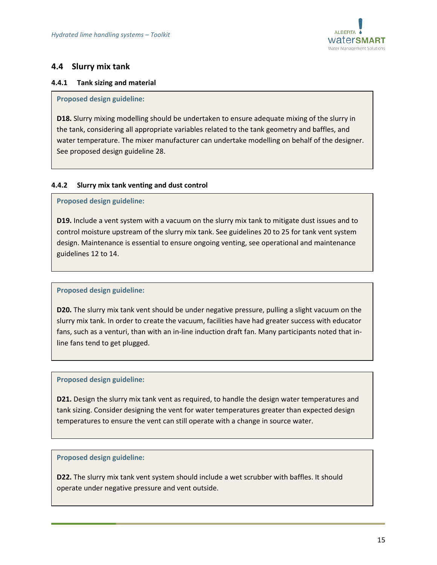

# <span id="page-14-0"></span>**4.4 Slurry mix tank**

#### <span id="page-14-1"></span>**4.4.1 Tank sizing and material**

#### **Proposed design guideline:**

**D18.** Slurry mixing modelling should be undertaken to ensure adequate mixing of the slurry in the tank, considering all appropriate variables related to the tank geometry and baffles, and water temperature. The mixer manufacturer can undertake modelling on behalf of the designer. See proposed design guideline 28.

#### <span id="page-14-2"></span>**4.4.2 Slurry mix tank venting and dust control**

#### **Proposed design guideline:**

**D19.** Include a vent system with a vacuum on the slurry mix tank to mitigate dust issues and to control moisture upstream of the slurry mix tank. See guidelines 20 to 25 for tank vent system design. Maintenance is essential to ensure ongoing venting, see operational and maintenance guidelines 12 to 14.

#### **Proposed design guideline:**

**D20.** The slurry mix tank vent should be under negative pressure, pulling a slight vacuum on the slurry mix tank. In order to create the vacuum, facilities have had greater success with educator fans, such as a venturi, than with an in-line induction draft fan. Many participants noted that inline fans tend to get plugged.

#### **Proposed design guideline:**

**D21.** Design the slurry mix tank vent as required, to handle the design water temperatures and tank sizing. Consider designing the vent for water temperatures greater than expected design temperatures to ensure the vent can still operate with a change in source water.

#### **Proposed design guideline:**

**D22.** The slurry mix tank vent system should include a wet scrubber with baffles. It should operate under negative pressure and vent outside.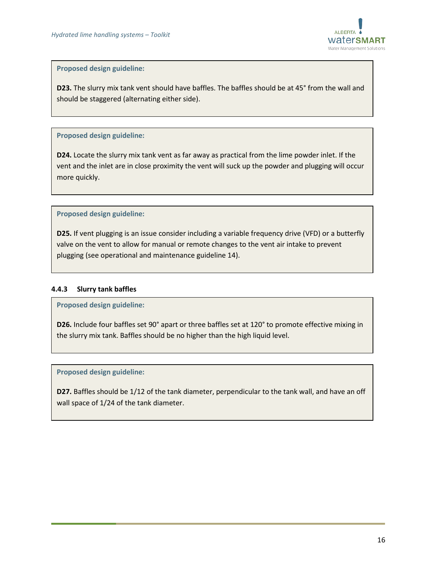

**D23.** The slurry mix tank vent should have baffles. The baffles should be at 45° from the wall and should be staggered (alternating either side).

#### **Proposed design guideline:**

**D24.** Locate the slurry mix tank vent as far away as practical from the lime powder inlet. If the vent and the inlet are in close proximity the vent will suck up the powder and plugging will occur more quickly.

#### **Proposed design guideline:**

**D25.** If vent plugging is an issue consider including a variable frequency drive (VFD) or a butterfly valve on the vent to allow for manual or remote changes to the vent air intake to prevent plugging (see operational and maintenance guideline 14).

#### <span id="page-15-0"></span>**4.4.3 Slurry tank baffles**

**Proposed design guideline:**

**D26.** Include four baffles set 90° apart or three baffles set at 120° to promote effective mixing in the slurry mix tank. Baffles should be no higher than the high liquid level.

#### **Proposed design guideline:**

**D27.** Baffles should be 1/12 of the tank diameter, perpendicular to the tank wall, and have an off wall space of 1/24 of the tank diameter.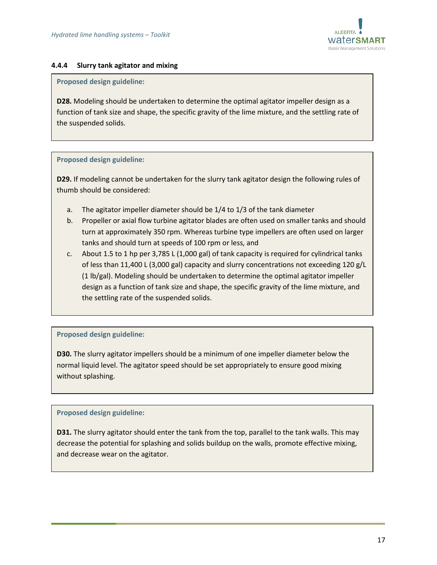

#### <span id="page-16-0"></span>**4.4.4 Slurry tank agitator and mixing**

#### **Proposed design guideline:**

**D28.** Modeling should be undertaken to determine the optimal agitator impeller design as a function of tank size and shape, the specific gravity of the lime mixture, and the settling rate of the suspended solids.

#### **Proposed design guideline:**

**D29.** If modeling cannot be undertaken for the slurry tank agitator design the following rules of thumb should be considered:

- a. The agitator impeller diameter should be 1/4 to 1/3 of the tank diameter
- b. Propeller or axial flow turbine agitator blades are often used on smaller tanks and should turn at approximately 350 rpm. Whereas turbine type impellers are often used on larger tanks and should turn at speeds of 100 rpm or less, and
- c. About 1.5 to 1 hp per 3,785 L (1,000 gal) of tank capacity is required for cylindrical tanks of less than 11,400 L (3,000 gal) capacity and slurry concentrations not exceeding 120 g/L (1 lb/gal). Modeling should be undertaken to determine the optimal agitator impeller design as a function of tank size and shape, the specific gravity of the lime mixture, and the settling rate of the suspended solids.

#### **Proposed design guideline:**

**D30.** The slurry agitator impellers should be a minimum of one impeller diameter below the normal liquid level. The agitator speed should be set appropriately to ensure good mixing without splashing.

#### **Proposed design guideline:**

**D31.** The slurry agitator should enter the tank from the top, parallel to the tank walls. This may decrease the potential for splashing and solids buildup on the walls, promote effective mixing, and decrease wear on the agitator.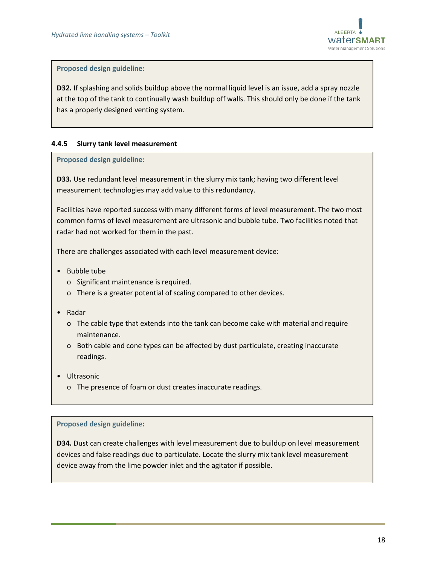

**D32.** If splashing and solids buildup above the normal liquid level is an issue, add a spray nozzle at the top of the tank to continually wash buildup off walls. This should only be done if the tank has a properly designed venting system.

#### <span id="page-17-0"></span>**4.4.5 Slurry tank level measurement**

#### **Proposed design guideline:**

**D33.** Use redundant level measurement in the slurry mix tank; having two different level measurement technologies may add value to this redundancy.

Facilities have reported success with many different forms of level measurement. The two most common forms of level measurement are ultrasonic and bubble tube. Two facilities noted that radar had not worked for them in the past.

There are challenges associated with each level measurement device:

- Bubble tube
	- o Significant maintenance is required.
	- o There is a greater potential of scaling compared to other devices.
- Radar
	- o The cable type that extends into the tank can become cake with material and require maintenance.
	- o Both cable and cone types can be affected by dust particulate, creating inaccurate readings.
- Ultrasonic
	- o The presence of foam or dust creates inaccurate readings.

#### **Proposed design guideline:**

**D34.** Dust can create challenges with level measurement due to buildup on level measurement devices and false readings due to particulate. Locate the slurry mix tank level measurement device away from the lime powder inlet and the agitator if possible.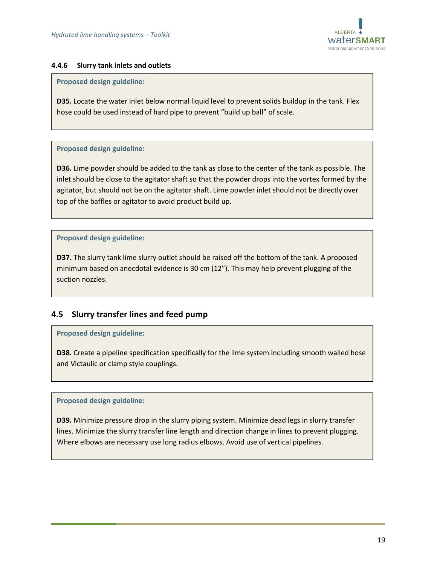

#### <span id="page-18-0"></span>**4.4.6 Slurry tank inlets and outlets**

#### **Proposed design guideline:**

**D35.** Locate the water inlet below normal liquid level to prevent solids buildup in the tank. Flex hose could be used instead of hard pipe to prevent "build up ball" of scale.

#### **Proposed design guideline:**

**D36.** Lime powder should be added to the tank as close to the center of the tank as possible. The inlet should be close to the agitator shaft so that the powder drops into the vortex formed by the agitator, but should not be on the agitator shaft. Lime powder inlet should not be directly over top of the baffles or agitator to avoid product build up.

#### **Proposed design guideline:**

**D37.** The slurry tank lime slurry outlet should be raised off the bottom of the tank. A proposed minimum based on anecdotal evidence is 30 cm (12"). This may help prevent plugging of the suction nozzles.

# <span id="page-18-1"></span>**4.5 Slurry transfer lines and feed pump**

#### **Proposed design guideline:**

**D38.** Create a pipeline specification specifically for the lime system including smooth walled hose and Victaulic or clamp style couplings.

#### **Proposed design guideline:**

**D39.** Minimize pressure drop in the slurry piping system. Minimize dead legs in slurry transfer lines. Minimize the slurry transfer line length and direction change in lines to prevent plugging. Where elbows are necessary use long radius elbows. Avoid use of vertical pipelines.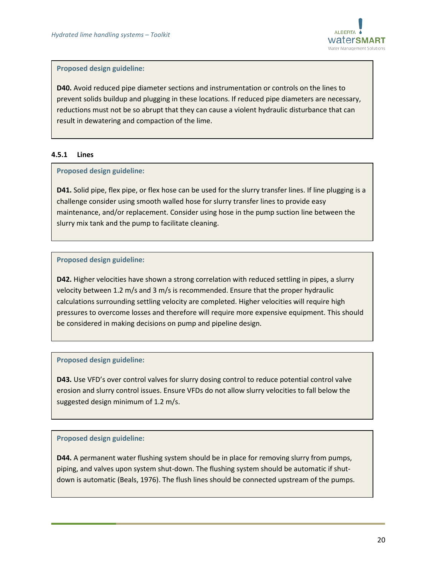

**D40.** Avoid reduced pipe diameter sections and instrumentation or controls on the lines to prevent solids buildup and plugging in these locations. If reduced pipe diameters are necessary, reductions must not be so abrupt that they can cause a violent hydraulic disturbance that can result in dewatering and compaction of the lime.

#### <span id="page-19-0"></span>**4.5.1 Lines**

#### **Proposed design guideline:**

**D41.** Solid pipe, flex pipe, or flex hose can be used for the slurry transfer lines. If line plugging is a challenge consider using smooth walled hose for slurry transfer lines to provide easy maintenance, and/or replacement. Consider using hose in the pump suction line between the slurry mix tank and the pump to facilitate cleaning.

#### **Proposed design guideline:**

**D42.** Higher velocities have shown a strong correlation with reduced settling in pipes, a slurry velocity between 1.2 m/s and 3 m/s is recommended. Ensure that the proper hydraulic calculations surrounding settling velocity are completed. Higher velocities will require high pressures to overcome losses and therefore will require more expensive equipment. This should be considered in making decisions on pump and pipeline design.

#### **Proposed design guideline:**

**D43.** Use VFD's over control valves for slurry dosing control to reduce potential control valve erosion and slurry control issues. Ensure VFDs do not allow slurry velocities to fall below the suggested design minimum of 1.2 m/s.

#### **Proposed design guideline:**

**D44.** A permanent water flushing system should be in place for removing slurry from pumps, piping, and valves upon system shut-down. The flushing system should be automatic if shutdown is automatic (Beals, 1976). The flush lines should be connected upstream of the pumps.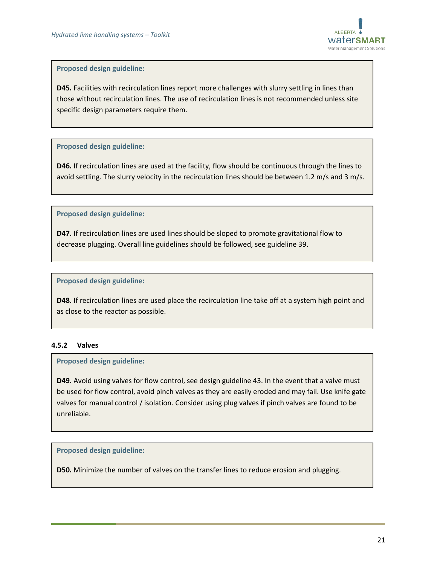

**D45.** Facilities with recirculation lines report more challenges with slurry settling in lines than those without recirculation lines. The use of recirculation lines is not recommended unless site specific design parameters require them.

#### **Proposed design guideline:**

**D46.** If recirculation lines are used at the facility, flow should be continuous through the lines to avoid settling. The slurry velocity in the recirculation lines should be between 1.2 m/s and 3 m/s.

#### **Proposed design guideline:**

**D47.** If recirculation lines are used lines should be sloped to promote gravitational flow to decrease plugging. Overall line guidelines should be followed, see guideline 39.

#### **Proposed design guideline:**

**D48.** If recirculation lines are used place the recirculation line take off at a system high point and as close to the reactor as possible.

#### <span id="page-20-0"></span>**4.5.2 Valves**

#### **Proposed design guideline:**

**D49.** Avoid using valves for flow control, see design guideline 43. In the event that a valve must be used for flow control, avoid pinch valves as they are easily eroded and may fail. Use knife gate valves for manual control / isolation. Consider using plug valves if pinch valves are found to be unreliable.

#### **Proposed design guideline:**

**D50.** Minimize the number of valves on the transfer lines to reduce erosion and plugging.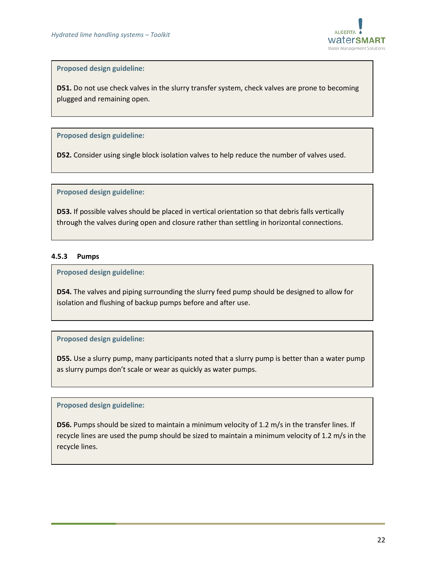

**D51.** Do not use check valves in the slurry transfer system, check valves are prone to becoming plugged and remaining open.

**Proposed design guideline:**

**D52.** Consider using single block isolation valves to help reduce the number of valves used.

**Proposed design guideline:**

**D53.** If possible valves should be placed in vertical orientation so that debris falls vertically through the valves during open and closure rather than settling in horizontal connections.

#### <span id="page-21-0"></span>**4.5.3 Pumps**

**Proposed design guideline:**

**D54.** The valves and piping surrounding the slurry feed pump should be designed to allow for isolation and flushing of backup pumps before and after use.

#### **Proposed design guideline:**

**D55.** Use a slurry pump, many participants noted that a slurry pump is better than a water pump as slurry pumps don't scale or wear as quickly as water pumps.

#### **Proposed design guideline:**

**D56.** Pumps should be sized to maintain a minimum velocity of 1.2 m/s in the transfer lines. If recycle lines are used the pump should be sized to maintain a minimum velocity of 1.2 m/s in the recycle lines.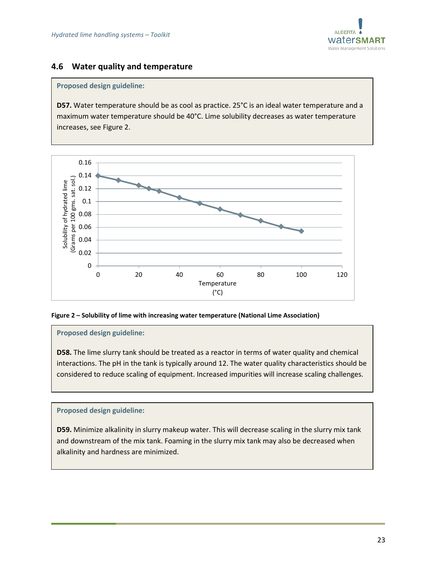

# <span id="page-22-0"></span>**4.6 Water quality and temperature**

#### **Proposed design guideline:**

**D57.** Water temperature should be as cool as practice. 25°C is an ideal water temperature and a maximum water temperature should be 40°C. Lime solubility decreases as water temperature increases, see [Figure 2.](#page-22-1)



#### <span id="page-22-1"></span>**Figure 2 – Solubility of lime with increasing water temperature (National Lime Association)**

#### **Proposed design guideline:**

**D58.** The lime slurry tank should be treated as a reactor in terms of water quality and chemical interactions. The pH in the tank is typically around 12. The water quality characteristics should be considered to reduce scaling of equipment. Increased impurities will increase scaling challenges.

#### **Proposed design guideline:**

**D59.** Minimize alkalinity in slurry makeup water. This will decrease scaling in the slurry mix tank and downstream of the mix tank. Foaming in the slurry mix tank may also be decreased when alkalinity and hardness are minimized.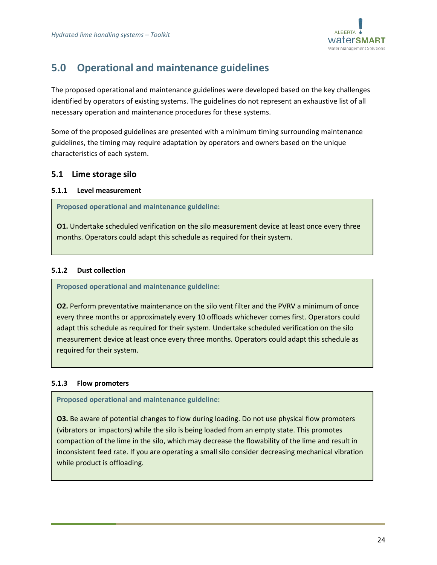

# <span id="page-23-0"></span>**5.0 Operational and maintenance guidelines**

The proposed operational and maintenance guidelines were developed based on the key challenges identified by operators of existing systems. The guidelines do not represent an exhaustive list of all necessary operation and maintenance procedures for these systems.

Some of the proposed guidelines are presented with a minimum timing surrounding maintenance guidelines, the timing may require adaptation by operators and owners based on the unique characteristics of each system.

# <span id="page-23-1"></span>**5.1 Lime storage silo**

#### <span id="page-23-2"></span>**5.1.1 Level measurement**

**Proposed operational and maintenance guideline:**

**O1.** Undertake scheduled verification on the silo measurement device at least once every three months. Operators could adapt this schedule as required for their system.

#### <span id="page-23-3"></span>**5.1.2 Dust collection**

**Proposed operational and maintenance guideline:**

**O2.** Perform preventative maintenance on the silo vent filter and the PVRV a minimum of once every three months or approximately every 10 offloads whichever comes first. Operators could adapt this schedule as required for their system. Undertake scheduled verification on the silo measurement device at least once every three months. Operators could adapt this schedule as required for their system.

#### <span id="page-23-4"></span>**5.1.3 Flow promoters**

**Proposed operational and maintenance guideline:**

**O3.** Be aware of potential changes to flow during loading. Do not use physical flow promoters (vibrators or impactors) while the silo is being loaded from an empty state. This promotes compaction of the lime in the silo, which may decrease the flowability of the lime and result in inconsistent feed rate. If you are operating a small silo consider decreasing mechanical vibration while product is offloading.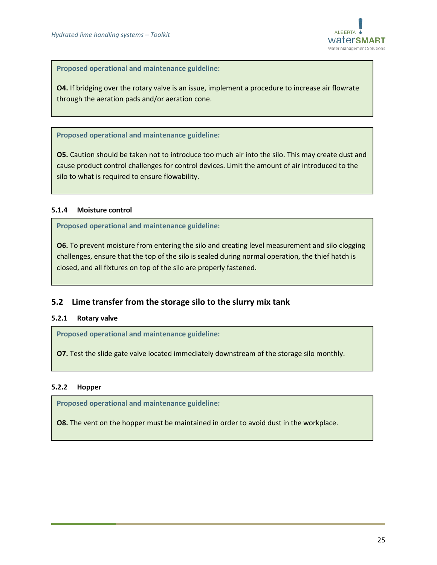

**Proposed operational and maintenance guideline:**

**O4.** If bridging over the rotary valve is an issue, implement a procedure to increase air flowrate through the aeration pads and/or aeration cone.

**Proposed operational and maintenance guideline:**

**O5.** Caution should be taken not to introduce too much air into the silo. This may create dust and cause product control challenges for control devices. Limit the amount of air introduced to the silo to what is required to ensure flowability.

#### <span id="page-24-0"></span>**5.1.4 Moisture control**

**Proposed operational and maintenance guideline:**

**O6.** To prevent moisture from entering the silo and creating level measurement and silo clogging challenges, ensure that the top of the silo is sealed during normal operation, the thief hatch is closed, and all fixtures on top of the silo are properly fastened.

# <span id="page-24-1"></span>**5.2 Lime transfer from the storage silo to the slurry mix tank**

#### <span id="page-24-2"></span>**5.2.1 Rotary valve**

**Proposed operational and maintenance guideline:**

**O7.** Test the slide gate valve located immediately downstream of the storage silo monthly.

#### <span id="page-24-3"></span>**5.2.2 Hopper**

**Proposed operational and maintenance guideline:**

**O8.** The vent on the hopper must be maintained in order to avoid dust in the workplace.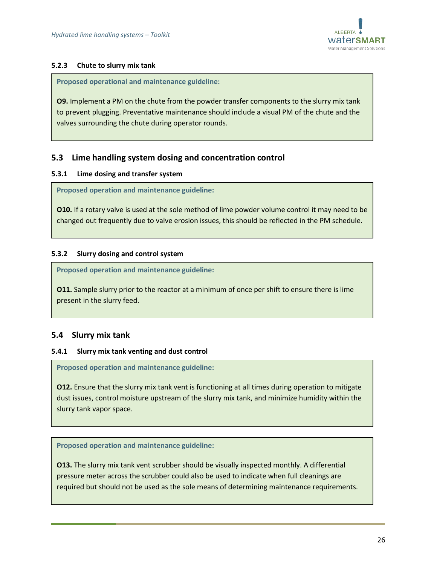

#### <span id="page-25-0"></span>**5.2.3 Chute to slurry mix tank**

**Proposed operational and maintenance guideline:**

**O9.** Implement a PM on the chute from the powder transfer components to the slurry mix tank to prevent plugging. Preventative maintenance should include a visual PM of the chute and the valves surrounding the chute during operator rounds.

# <span id="page-25-1"></span>**5.3 Lime handling system dosing and concentration control**

#### <span id="page-25-2"></span>**5.3.1 Lime dosing and transfer system**

**Proposed operation and maintenance guideline:**

**O10.** If a rotary valve is used at the sole method of lime powder volume control it may need to be changed out frequently due to valve erosion issues, this should be reflected in the PM schedule.

#### <span id="page-25-3"></span>**5.3.2 Slurry dosing and control system**

**Proposed operation and maintenance guideline:**

**O11.** Sample slurry prior to the reactor at a minimum of once per shift to ensure there is lime present in the slurry feed.

# <span id="page-25-4"></span>**5.4 Slurry mix tank**

#### <span id="page-25-5"></span>**5.4.1 Slurry mix tank venting and dust control**

**Proposed operation and maintenance guideline:**

**O12.** Ensure that the slurry mix tank vent is functioning at all times during operation to mitigate dust issues, control moisture upstream of the slurry mix tank, and minimize humidity within the slurry tank vapor space.

**Proposed operation and maintenance guideline:**

**O13.** The slurry mix tank vent scrubber should be visually inspected monthly. A differential pressure meter across the scrubber could also be used to indicate when full cleanings are required but should not be used as the sole means of determining maintenance requirements.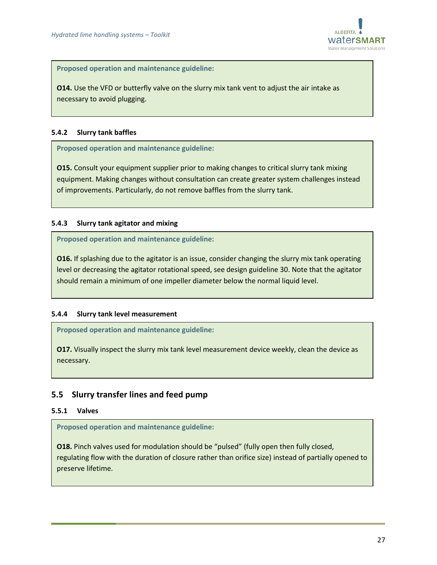

**Proposed operation and maintenance guideline:**

**O14.** Use the VFD or butterfly valve on the slurry mix tank vent to adjust the air intake as necessary to avoid plugging.

#### <span id="page-26-0"></span>**5.4.2 Slurry tank baffles**

**Proposed operation and maintenance guideline:**

**O15.** Consult your equipment supplier prior to making changes to critical slurry tank mixing equipment. Making changes without consultation can create greater system challenges instead of improvements. Particularly, do not remove baffles from the slurry tank.

#### <span id="page-26-1"></span>**5.4.3 Slurry tank agitator and mixing**

**Proposed operation and maintenance guideline:**

**O16.** If splashing due to the agitator is an issue, consider changing the slurry mix tank operating level or decreasing the agitator rotational speed, see design guideline 30. Note that the agitator should remain a minimum of one impeller diameter below the normal liquid level.

#### <span id="page-26-2"></span>**5.4.4 Slurry tank level measurement**

**Proposed operation and maintenance guideline:**

**O17.** Visually inspect the slurry mix tank level measurement device weekly, clean the device as necessary.

# <span id="page-26-3"></span>**5.5 Slurry transfer lines and feed pump**

#### <span id="page-26-4"></span>**5.5.1 Valves**

**Proposed operation and maintenance guideline:**

**O18.** Pinch valves used for modulation should be "pulsed" (fully open then fully closed, regulating flow with the duration of closure rather than orifice size) instead of partially opened to preserve lifetime.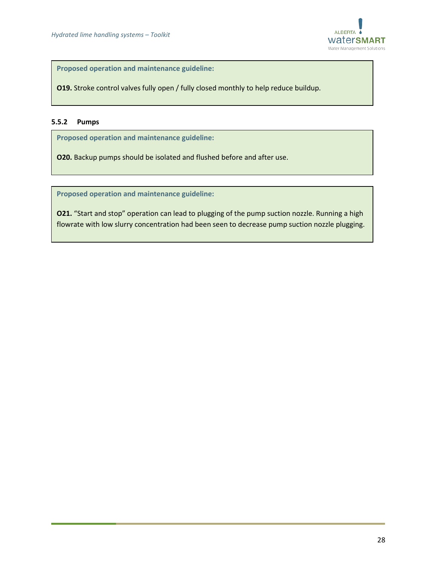

**Proposed operation and maintenance guideline:**

**O19.** Stroke control valves fully open / fully closed monthly to help reduce buildup.

#### <span id="page-27-0"></span>**5.5.2 Pumps**

**Proposed operation and maintenance guideline:**

**O20.** Backup pumps should be isolated and flushed before and after use.

**Proposed operation and maintenance guideline:**

**O21.** "Start and stop" operation can lead to plugging of the pump suction nozzle. Running a high flowrate with low slurry concentration had been seen to decrease pump suction nozzle plugging.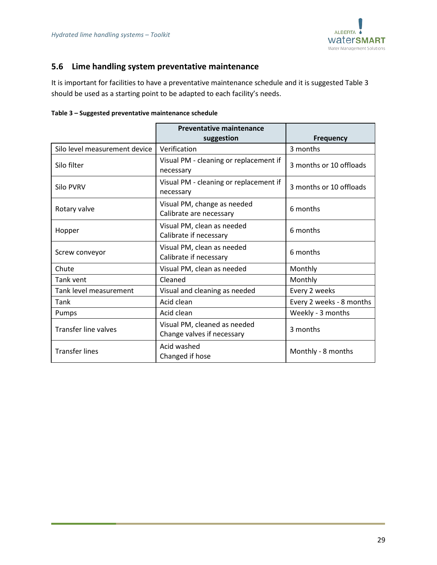

# <span id="page-28-0"></span>**5.6 Lime handling system preventative maintenance**

It is important for facilities to have a preventative maintenance schedule and it is suggested [Table 3](#page-28-1) should be used as a starting point to be adapted to each facility's needs.

<span id="page-28-1"></span>

| Table 3 - Suggested preventative maintenance schedule |  |  |  |  |
|-------------------------------------------------------|--|--|--|--|
|-------------------------------------------------------|--|--|--|--|

|                               | <b>Preventative maintenance</b><br>suggestion              | <b>Frequency</b>         |
|-------------------------------|------------------------------------------------------------|--------------------------|
| Silo level measurement device | Verification                                               | 3 months                 |
| Silo filter                   | Visual PM - cleaning or replacement if<br>necessary        | 3 months or 10 offloads  |
| <b>Silo PVRV</b>              | Visual PM - cleaning or replacement if<br>necessary        | 3 months or 10 offloads  |
| Rotary valve                  | Visual PM, change as needed<br>Calibrate are necessary     | 6 months                 |
| Hopper                        | Visual PM, clean as needed<br>Calibrate if necessary       | 6 months                 |
| Screw conveyor                | Visual PM, clean as needed<br>Calibrate if necessary       | 6 months                 |
| Chute                         | Visual PM, clean as needed                                 | Monthly                  |
| Tank vent                     | Cleaned                                                    | Monthly                  |
| Tank level measurement        | Visual and cleaning as needed                              | Every 2 weeks            |
| Tank                          | Acid clean                                                 | Every 2 weeks - 8 months |
| Pumps                         | Acid clean                                                 | Weekly - 3 months        |
| <b>Transfer line valves</b>   | Visual PM, cleaned as needed<br>Change valves if necessary | 3 months                 |
| <b>Transfer lines</b>         | Acid washed<br>Changed if hose                             | Monthly - 8 months       |